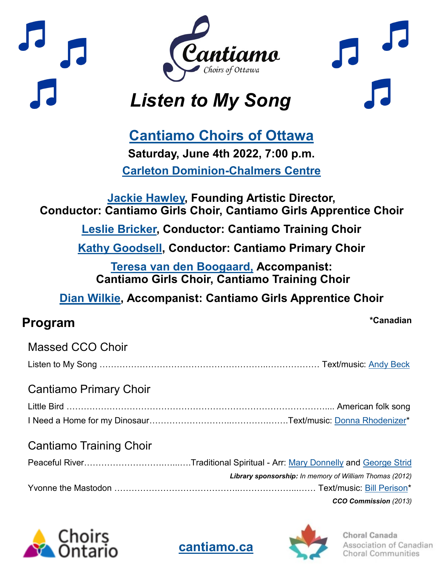

# **[Cantiamo Choirs of Ottawa](https://cantiamo.ca/)**

**Saturday, June 4th 2022, 7:00 p.m. [Carleton Dominion](https://carleton.ca/cdcc/)-Chalmers Centre**

#### **[Jackie Hawley,](https://cantiamo.ca/about/) Founding Artistic Director, Conductor: Cantiamo Girls Choir, Cantiamo Girls Apprentice Choir**

**[Leslie Bricker,](https://cantiamo.ca/our-training-choir-conductor/) Conductor: Cantiamo Training Choir**

**[Kathy Goodsell,](https://cantiamo.ca/about/primary-choir-conductor/) Conductor: Cantiamo Primary Choir**

**[Teresa van den Boogaard,](https://cantiamo.ca/training-choir-accompanist/) Accompanist: Cantiamo Girls Choir, Cantiamo Training Choir**

**[Dian Wilkie,](https://cantiamo.ca/about/) Accompanist: Cantiamo Girls Apprentice Choir**

## **Program \*Canadian**

| <b>Massed CCO Choir</b>        |                                                         |
|--------------------------------|---------------------------------------------------------|
| <b>Cantiamo Primary Choir</b>  |                                                         |
|                                |                                                         |
|                                |                                                         |
| <b>Cantiamo Training Choir</b> |                                                         |
|                                |                                                         |
|                                | Library sponsorship: In memory of William Thomas (2012) |
|                                |                                                         |

*CCO Commission (2013)* 





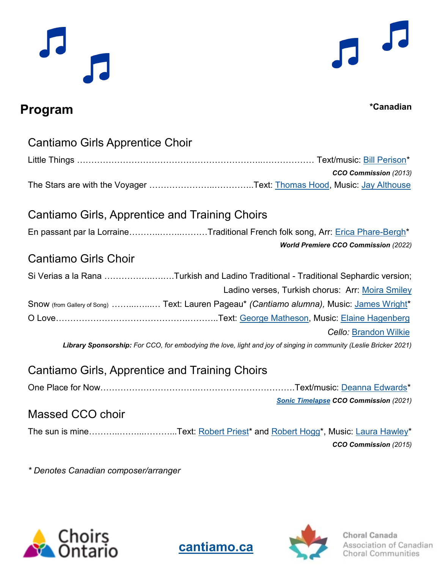

## **Program \*Canadian**

| Cantiamo Girls Apprentice Choir                                                                                   |  |
|-------------------------------------------------------------------------------------------------------------------|--|
|                                                                                                                   |  |
| CCO Commission (2013)                                                                                             |  |
|                                                                                                                   |  |
|                                                                                                                   |  |
| Cantiamo Girls, Apprentice and Training Choirs                                                                    |  |
| En passant par la LorraineTraditional French folk song, Arr: Erica Phare-Bergh*                                   |  |
| <b>World Premiere CCO Commission (2022)</b>                                                                       |  |
| <b>Cantiamo Girls Choir</b>                                                                                       |  |
| Si Verias a la Rana Turkish and Ladino Traditional - Traditional Sephardic version;                               |  |
| Ladino verses, Turkish chorus: Arr: Moira Smiley                                                                  |  |
| Snow (from Gallery of Song)  Text: Lauren Pageau* (Cantiamo alumna), Music: James Wright*                         |  |
|                                                                                                                   |  |
| <b>Cello</b> : Brandon Wilkie                                                                                     |  |
| Library Sponsorship: For CCO, for embodying the love, light and joy of singing in community (Leslie Bricker 2021) |  |
| Cantiamo Girls, Apprentice and Training Choirs                                                                    |  |
|                                                                                                                   |  |
|                                                                                                                   |  |
| <b>Sonic Timelapse CCO Commission (2021)</b>                                                                      |  |
| Massed CCO choir                                                                                                  |  |
| The sun is mineText: Robert Priest* and Robert Hogg*, Music: Laura Hawley*                                        |  |

*\* Denotes Canadian composer/arranger*







*CCO Commission (2015)*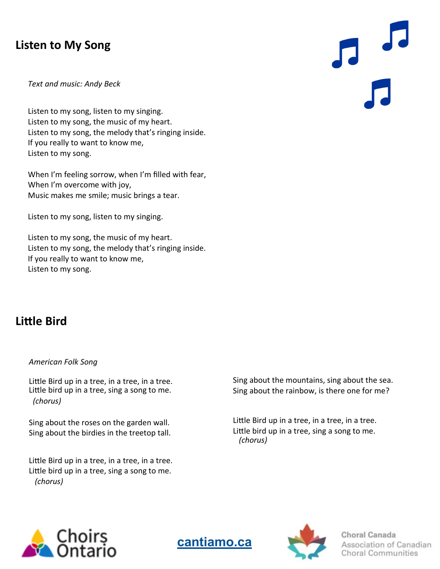### **Listen to My Song**

*Text and music: Andy Beck*

Listen to my song, listen to my singing. Listen to my song, the music of my heart. Listen to my song, the melody that's ringing inside. If you really to want to know me, Listen to my song.

When I'm feeling sorrow, when I'm filled with fear, When I'm overcome with joy, Music makes me smile; music brings a tear.

Listen to my song, listen to my singing.

Listen to my song, the music of my heart. Listen to my song, the melody that's ringing inside. If you really to want to know me, Listen to my song.

#### **Little Bird**

#### *American Folk Song*

Little Bird up in a tree, in a tree, in a tree. Little bird up in a tree, sing a song to me. *(chorus)*

Sing about the roses on the garden wall. Sing about the birdies in the treetop tall.

Little Bird up in a tree, in a tree, in a tree. Little bird up in a tree, sing a song to me. *(chorus)*

Sing about the mountains, sing about the sea. Sing about the rainbow, is there one for me?

Little Bird up in a tree, in a tree, in a tree. Little bird up in a tree, sing a song to me. *(chorus)*







Choral Canada Association of Canadian **Choral Communities**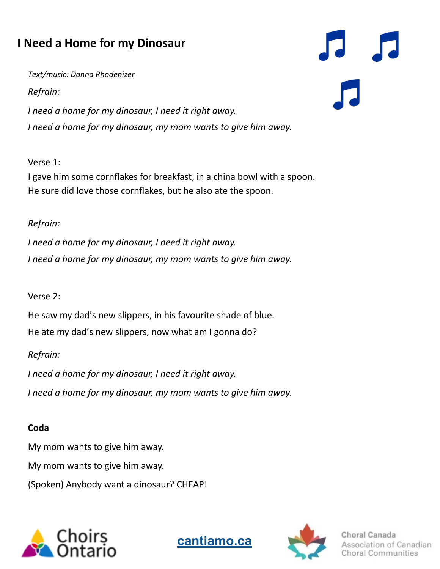## **I Need a Home for my Dinosaur**

*Text/music: Donna Rhodenizer*

*Refrain:*

*I need a home for my dinosaur, I need it right away. I need a home for my dinosaur, my mom wants to give him away.*

Verse 1:

I gave him some cornflakes for breakfast, in a china bowl with a spoon. He sure did love those cornflakes, but he also ate the spoon.

#### *Refrain:*

*I need a home for my dinosaur, I need it right away. I need a home for my dinosaur, my mom wants to give him away.*

#### Verse 2:

He saw my dad's new slippers, in his favourite shade of blue. He ate my dad's new slippers, now what am I gonna do?

#### *Refrain:*

*I need a home for my dinosaur, I need it right away. I need a home for my dinosaur, my mom wants to give him away.*

#### **Coda**

My mom wants to give him away. My mom wants to give him away. (Spoken) Anybody want a dinosaur? CHEAP!







Choral Canada n of Canadian Communities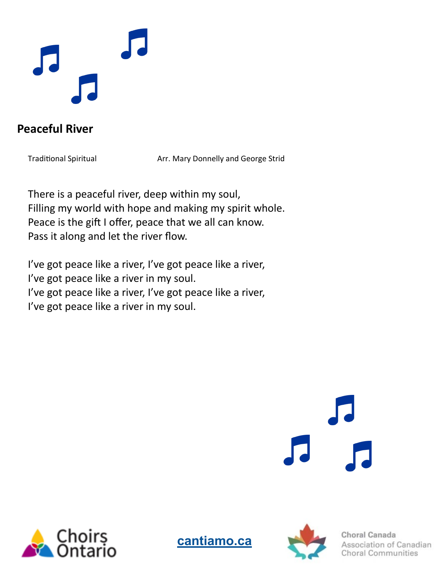

### **Peaceful River**

Traditional Spiritual **Arr. Mary Donnelly and George Strid** 

There is a peaceful river, deep within my soul, Filling my world with hope and making my spirit whole. Peace is the gift I offer, peace that we all can know. Pass it along and let the river flow.

I've got peace like a river, I've got peace like a river, I've got peace like a river in my soul. I've got peace like a river, I've got peace like a river, I've got peace like a river in my soul.







Choral Canada ion of Canadian oral Communities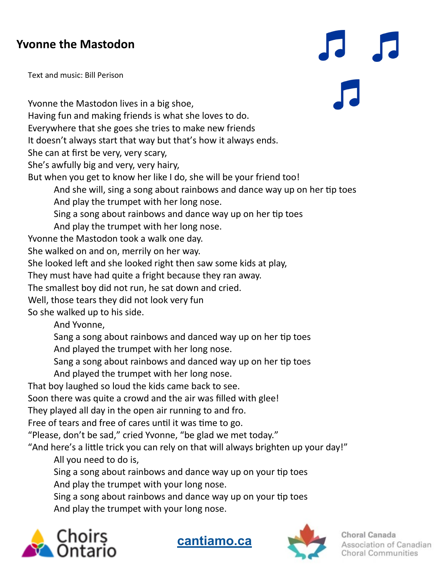### **Yvonne the Mastodon**

Text and music: Bill Perison

Yvonne the Mastodon lives in a big shoe, Having fun and making friends is what she loves to do. Everywhere that she goes she tries to make new friends It doesn't always start that way but that's how it always ends. She can at first be very, very scary, She's awfully big and very, very hairy, But when you get to know her like I do, she will be your friend too! And she will, sing a song about rainbows and dance way up on her tip toes And play the trumpet with her long nose. Sing a song about rainbows and dance way up on her tip toes And play the trumpet with her long nose. Yvonne the Mastodon took a walk one day. She walked on and on, merrily on her way. She looked left and she looked right then saw some kids at play, They must have had quite a fright because they ran away. The smallest boy did not run, he sat down and cried. Well, those tears they did not look very fun So she walked up to his side. And Yvonne, Sang a song about rainbows and danced way up on her tip toes And played the trumpet with her long nose. Sang a song about rainbows and danced way up on her tip toes And played the trumpet with her long nose.

That boy laughed so loud the kids came back to see.

Soon there was quite a crowd and the air was filled with glee!

They played all day in the open air running to and fro.

Free of tears and free of cares until it was time to go.

"Please, don't be sad," cried Yvonne, "be glad we met today."

"And here's a little trick you can rely on that will always brighten up your day!"

All you need to do is,

Sing a song about rainbows and dance way up on your tip toes

And play the trumpet with your long nose.

Sing a song about rainbows and dance way up on your tip toes And play the trumpet with your long nose.







Choral Canada ciation of Canadian oral Communities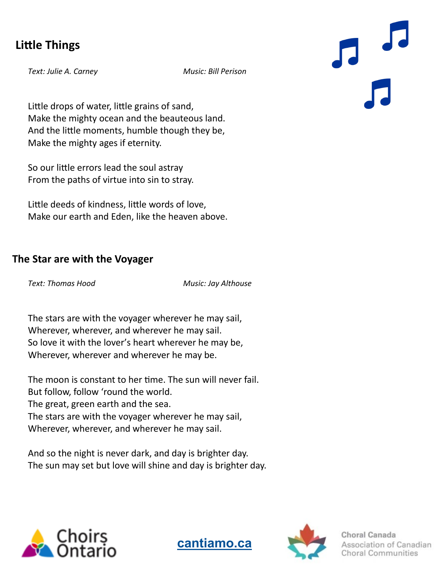### **Little Things**

*Text: Julie A. Carney Music: Bill Perison*

Little drops of water, little grains of sand, Make the mighty ocean and the beauteous land. And the little moments, humble though they be, Make the mighty ages if eternity.

So our little errors lead the soul astray From the paths of virtue into sin to stray.

Little deeds of kindness, little words of love, Make our earth and Eden, like the heaven above.

#### **The Star are with the Voyager**

*Text: Thomas Hood Music: Jay Althouse*

**[cantiamo.ca](https://cantiamo.ca/)**

The stars are with the voyager wherever he may sail, Wherever, wherever, and wherever he may sail. So love it with the lover's heart wherever he may be, Wherever, wherever and wherever he may be.

The moon is constant to her time. The sun will never fail. But follow, follow 'round the world. The great, green earth and the sea. The stars are with the voyager wherever he may sail, Wherever, wherever, and wherever he may sail.

And so the night is never dark, and day is brighter day. The sun may set but love will shine and day is brighter day.





Choral Canada n of Canadian al Communities

 $\overline{a}$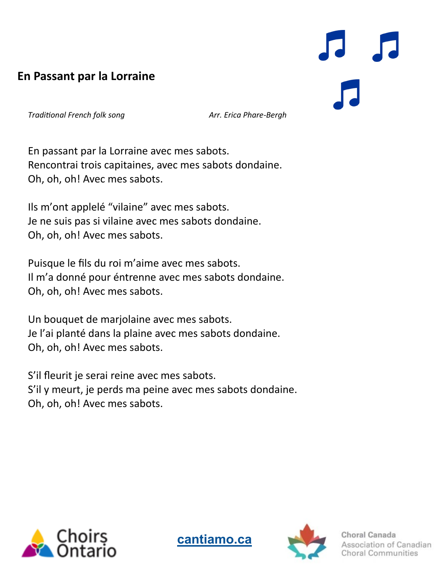### **En Passant par la Lorraine**

*Traditional French folk song Arr. Erica Phare-Bergh*

En passant par la Lorraine avec mes sabots. Rencontrai trois capitaines, avec mes sabots dondaine. Oh, oh, oh! Avec mes sabots.

Ils m'ont applelé "vilaine" avec mes sabots. Je ne suis pas si vilaine avec mes sabots dondaine. Oh, oh, oh! Avec mes sabots.

Puisque le fils du roi m'aime avec mes sabots. Il m'a donné pour éntrenne avec mes sabots dondaine. Oh, oh, oh! Avec mes sabots.

Un bouquet de marjolaine avec mes sabots. Je l'ai planté dans la plaine avec mes sabots dondaine. Oh, oh, oh! Avec mes sabots.

S'il fleurit je serai reine avec mes sabots. S'il y meurt, je perds ma peine avec mes sabots dondaine. Oh, oh, oh! Avec mes sabots.







of Canadian mmunities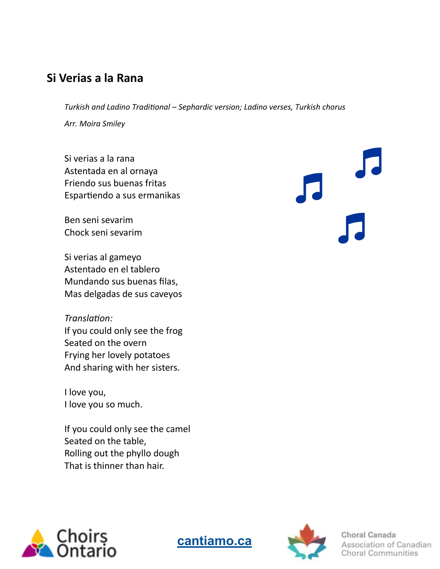### **Si Verias a la Rana**

*Turkish and Ladino Traditional – Sephardic version; Ladino verses, Turkish chorus Arr. Moira Smiley*

Si verias a la rana Astentada en al ornaya Friendo sus buenas fritas Espartiendo a sus ermanikas

Ben seni sevarim Chock seni sevarim

Si verias al gameyo Astentado en el tablero Mundando sus buenas filas, Mas delgadas de sus caveyos

*Translation:*  If you could only see the frog Seated on the overn Frying her lovely potatoes And sharing with her sisters.

I love you, I love you so much.

If you could only see the camel Seated on the table, Rolling out the phyllo dough That is thinner than hair.







Choral Canada Association of Canadian horal Communities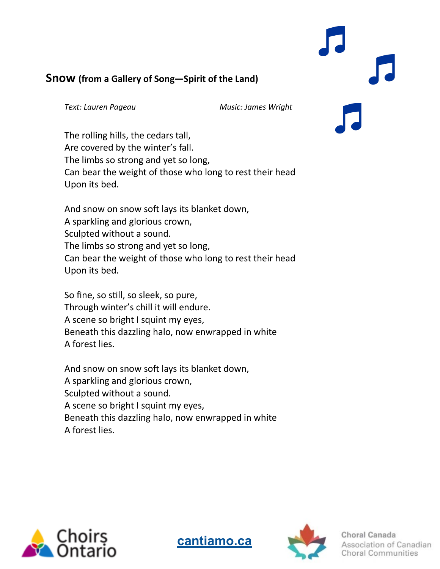#### **Snow (from a Gallery of Song—Spirit of the Land)**

*Text: Lauren Pageau Music: James Wright*

The rolling hills, the cedars tall, Are covered by the winter's fall. The limbs so strong and yet so long, Can bear the weight of those who long to rest their head Upon its bed.

And snow on snow soft lays its blanket down, A sparkling and glorious crown, Sculpted without a sound. The limbs so strong and yet so long, Can bear the weight of those who long to rest their head Upon its bed.

So fine, so still, so sleek, so pure, Through winter's chill it will endure. A scene so bright I squint my eyes, Beneath this dazzling halo, now enwrapped in white A forest lies.

And snow on snow soft lays its blanket down, A sparkling and glorious crown, Sculpted without a sound. A scene so bright I squint my eyes, Beneath this dazzling halo, now enwrapped in white A forest lies.







Choral Canada on of Canadian oral Communities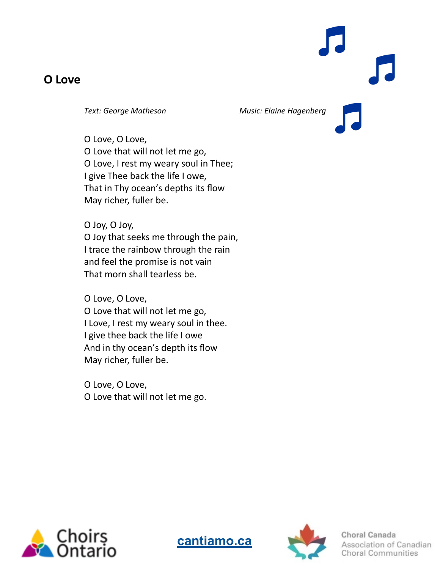#### **O Love**

*Text: George Matheson Music: Elaine Hagenberg*

O Love, O Love, O Love that will not let me go, O Love, I rest my weary soul in Thee; I give Thee back the life I owe, That in Thy ocean's depths its flow May richer, fuller be.

O Joy, O Joy, O Joy that seeks me through the pain, I trace the rainbow through the rain and feel the promise is not vain That morn shall tearless be.

O Love, O Love, O Love that will not let me go, I Love, I rest my weary soul in thee. I give thee back the life I owe And in thy ocean's depth its flow May richer, fuller be.

O Love, O Love, O Love that will not let me go.







Choral Canada Association of Canadian **Choral Communities**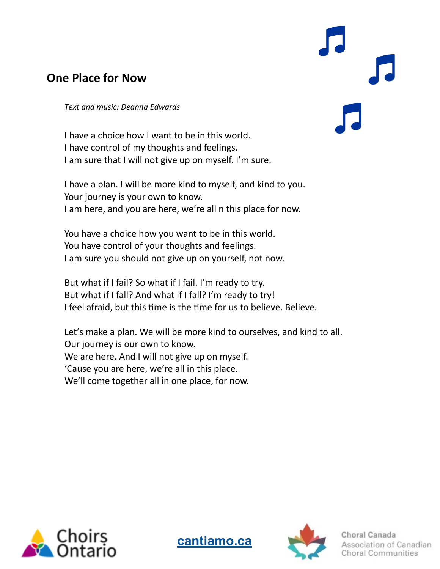### **One Place for Now**

*Text and music: Deanna Edwards*

I have a choice how I want to be in this world. I have control of my thoughts and feelings. I am sure that I will not give up on myself. I'm sure.

I have a plan. I will be more kind to myself, and kind to you. Your journey is your own to know. I am here, and you are here, we're all n this place for now.

You have a choice how you want to be in this world. You have control of your thoughts and feelings. I am sure you should not give up on yourself, not now.

But what if I fail? So what if I fail. I'm ready to try. But what if I fall? And what if I fall? I'm ready to try! I feel afraid, but this time is the time for us to believe. Believe.

Let's make a plan. We will be more kind to ourselves, and kind to all. Our journey is our own to know. We are here. And I will not give up on myself. 'Cause you are here, we're all in this place. We'll come together all in one place, for now.